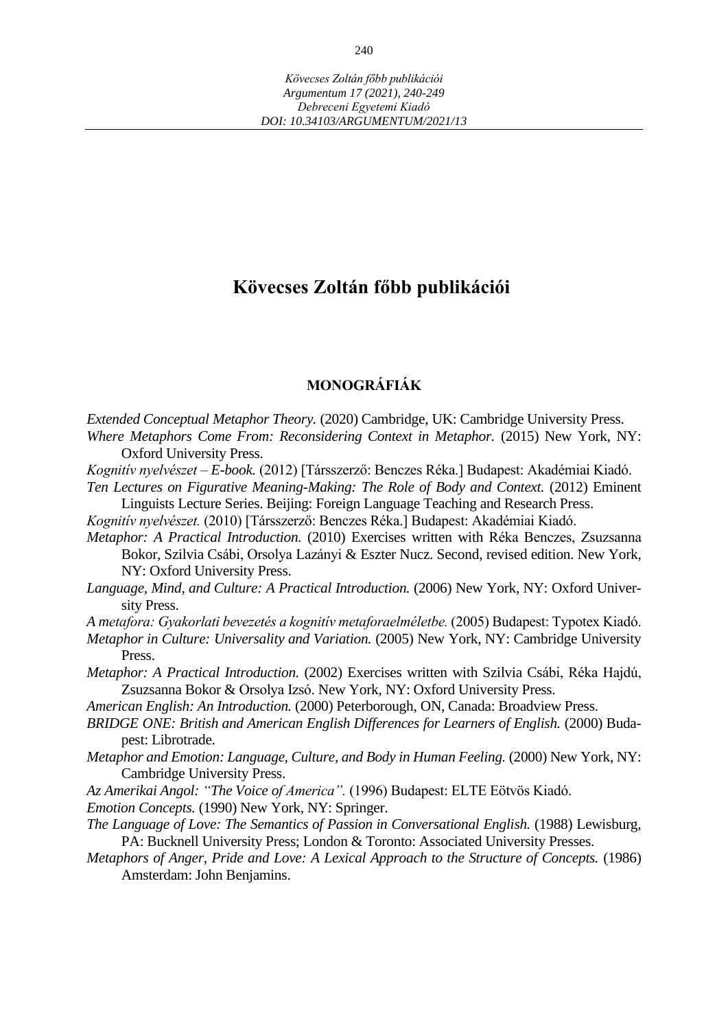# **Kövecses Zoltán főbb publikációi**

## **MONOGRÁFIÁK**

- *Extended Conceptual Metaphor Theory.* (2020) Cambridge, UK: Cambridge University Press. *Where Metaphors Come From: Reconsidering Context in Metaphor.* (2015) New York, NY: Oxford University Press.
- *Kognitív nyelvészet – E-book.* (2012) [Társszerző: Benczes Réka.] Budapest: Akadémiai Kiadó. *Ten Lectures on Figurative Meaning-Making: The Role of Body and Context.* (2012) Eminent
	- Linguists Lecture Series. Beijing: Foreign Language Teaching and Research Press.
- *Kognitív nyelvészet.* (2010) [Társszerző: Benczes Réka.] Budapest: Akadémiai Kiadó.
- *Metaphor: A Practical Introduction.* (2010) Exercises written with Réka Benczes, Zsuzsanna Bokor, Szilvia Csábi, Orsolya Lazányi & Eszter Nucz. Second, revised edition. New York, NY: Oxford University Press.
- *Language, Mind, and Culture: A Practical Introduction.* (2006) New York, NY: Oxford University Press.
- *A metafora: Gyakorlati bevezetés a kognitív metaforaelméletbe.* (2005) Budapest: Typotex Kiadó.
- *Metaphor in Culture: Universality and Variation.* (2005) New York, NY: Cambridge University Press.
- *Metaphor: A Practical Introduction.* (2002) Exercises written with Szilvia Csábi, Réka Hajdú, Zsuzsanna Bokor & Orsolya Izsó. New York, NY: Oxford University Press.
- *American English: An Introduction.* (2000) Peterborough, ON, Canada: Broadview Press.
- *BRIDGE ONE: British and American English Differences for Learners of English.* (2000) Budapest: Librotrade.
- *Metaphor and Emotion: Language, Culture, and Body in Human Feeling.* (2000) New York, NY: Cambridge University Press.
- *Az Amerikai Angol: "The Voice of America".* (1996) Budapest: ELTE Eötvös Kiadó.
- *Emotion Concepts.* (1990) New York, NY: Springer.
- *The Language of Love: The Semantics of Passion in Conversational English.* (1988) Lewisburg, PA: Bucknell University Press; London & Toronto: Associated University Presses.
- *Metaphors of Anger, Pride and Love: A Lexical Approach to the Structure of Concepts.* (1986) Amsterdam: John Benjamins.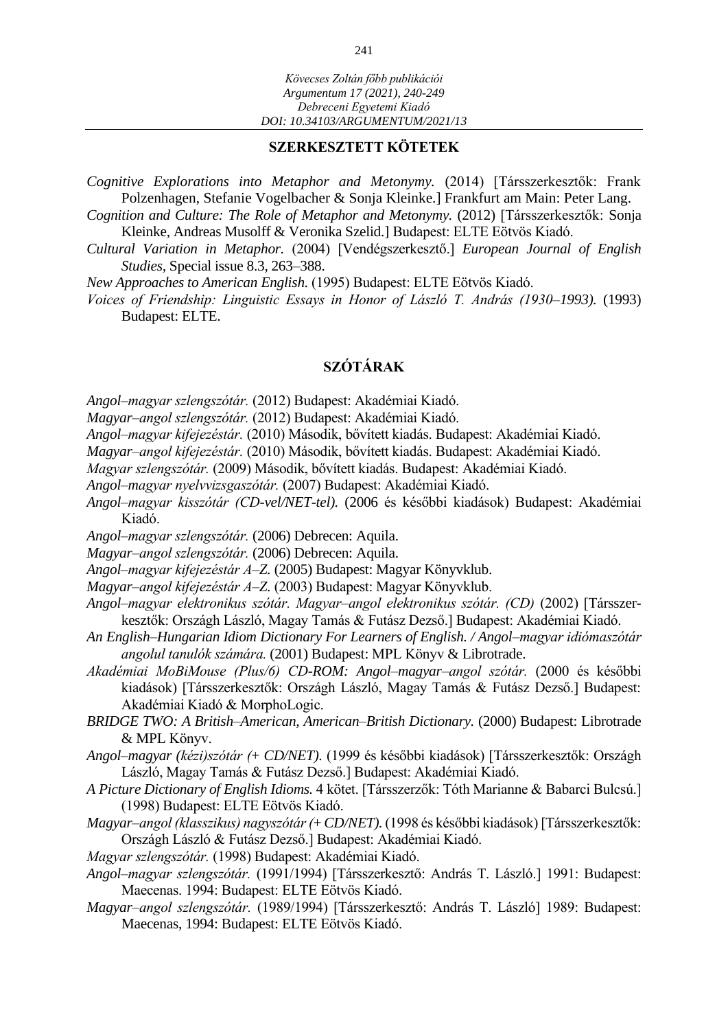#### **SZERKESZTETT KÖTETEK**

- *Cognitive Explorations into Metaphor and Metonymy.* (2014) [Társszerkesztők: Frank Polzenhagen, Stefanie Vogelbacher & Sonja Kleinke.] Frankfurt am Main: Peter Lang.
- *Cognition and Culture: The Role of Metaphor and Metonymy.* (2012) [Társszerkesztők: Sonja Kleinke, Andreas Musolff & Veronika Szelid.] Budapest: ELTE Eötvös Kiadó.
- *Cultural Variation in Metaphor.* (2004) [Vendégszerkesztő.] *European Journal of English Studies,* Special issue 8.3, 263–388.
- *New Approaches to American English.* (1995) Budapest: ELTE Eötvös Kiadó.
- *Voices of Friendship: Linguistic Essays in Honor of László T. András (1930–1993).* (1993) Budapest: ELTE.

## **SZÓTÁRAK**

- *Angol–magyar szlengszótár.* (2012) Budapest: Akadémiai Kiadó.
- *Magyar–angol szlengszótár.* (2012) Budapest: Akadémiai Kiadó.
- *Angol–magyar kifejezéstár.* (2010) Második, bővített kiadás. Budapest: Akadémiai Kiadó.
- *Magyar–angol kifejezéstár.* (2010) Második, bővített kiadás. Budapest: Akadémiai Kiadó.
- *Magyar szlengszótár.* (2009) Második, bővített kiadás. Budapest: Akadémiai Kiadó.
- *Angol–magyar nyelvvizsgaszótár.* (2007) Budapest: Akadémiai Kiadó.
- *Angol–magyar kisszótár (CD-vel/NET-tel).* (2006 és későbbi kiadások) Budapest: Akadémiai Kiadó.
- *Angol–magyar szlengszótár.* (2006) Debrecen: Aquila.
- *Magyar–angol szlengszótár.* (2006) Debrecen: Aquila.
- *Angol–magyar kifejezéstár A–Z.* (2005) Budapest: Magyar Könyvklub.
- *Magyar–angol kifejezéstár A–Z.* (2003) Budapest: Magyar Könyvklub.
- *Angol–magyar elektronikus szótár. Magyar–angol elektronikus szótár. (CD)* (2002) [Társszerkesztők: Országh László, Magay Tamás & Futász Dezső.] Budapest: Akadémiai Kiadó.
- *An English–Hungarian Idiom Dictionary For Learners of English. / Angol–magyar idiómaszótár angolul tanulók számára.* (2001) Budapest: MPL Könyv & Librotrade.
- *Akadémiai MoBiMouse (Plus/6) CD-ROM: Angol–magyar–angol szótár.* (2000 és későbbi kiadások) [Társszerkesztők: Országh László, Magay Tamás & Futász Dezső.] Budapest: Akadémiai Kiadó & MorphoLogic.
- *BRIDGE TWO: A British–American, American–British Dictionary.* (2000) Budapest: Librotrade & MPL Könyv.
- *Angol–magyar (kézi)szótár (*+ *CD/NET).* (1999 és későbbi kiadások) [Társszerkesztők: Országh László, Magay Tamás & Futász Dezső.] Budapest: Akadémiai Kiadó.
- *A Picture Dictionary of English Idioms.* 4 kötet. [Társszerzők: Tóth Marianne & Babarci Bulcsú.] (1998) Budapest: ELTE Eötvös Kiadó.
- *Magyar–angol (klasszikus) nagyszótár (*+ *CD/NET).* (1998 és későbbi kiadások) [Társszerkesztők: Országh László & Futász Dezső.] Budapest: Akadémiai Kiadó.
- *Magyar szlengszótár.* (1998) Budapest: Akadémiai Kiadó.
- *Angol–magyar szlengszótár.* (1991/1994) [Társszerkesztő: András T. László.] 1991: Budapest: Maecenas. 1994: Budapest: ELTE Eötvös Kiadó.
- *Magyar–angol szlengszótár.* (1989/1994) [Társszerkesztő: András T. László] 1989: Budapest: Maecenas, 1994: Budapest: ELTE Eötvös Kiadó.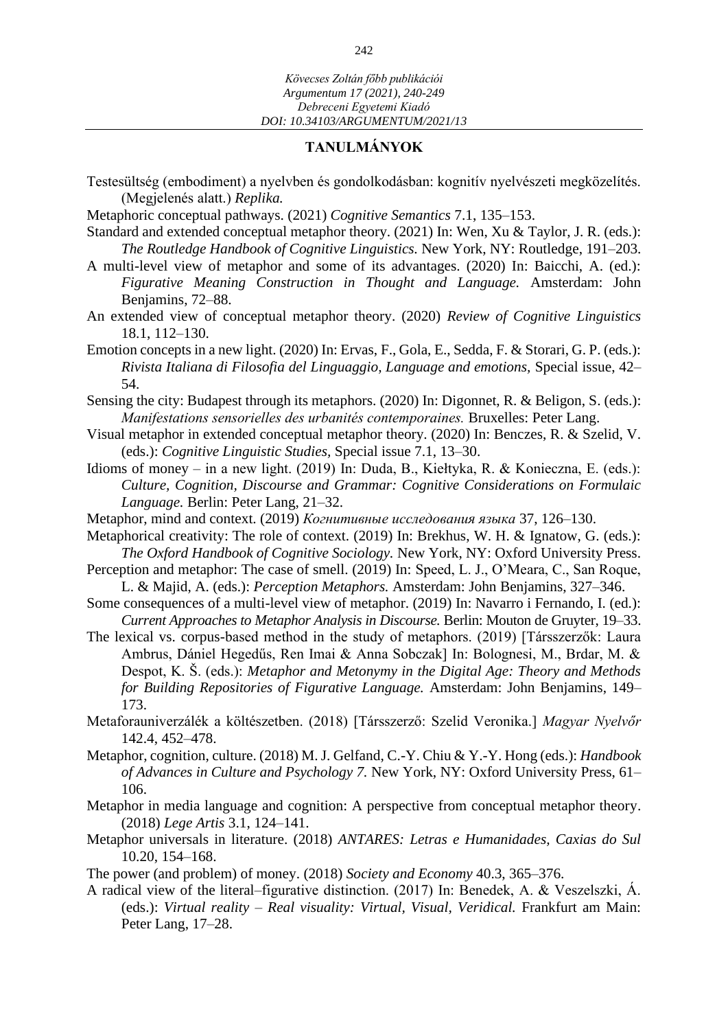### **TANULMÁNYOK**

- Testesültség (embodiment) a nyelvben és gondolkodásban: kognitív nyelvészeti megközelítés. (Megjelenés alatt.) *Replika.*
- Metaphoric conceptual pathways. (2021) *Cognitive Semantics* 7.1, 135–153.
- Standard and extended conceptual metaphor theory. (2021) In: Wen, Xu & Taylor, J. R. (eds.): *The Routledge Handbook of Cognitive Linguistics.* New York, NY: Routledge, 191–203.
- A multi-level view of metaphor and some of its advantages. (2020) In: Baicchi, A. (ed.): *Figurative Meaning Construction in Thought and Language.* Amsterdam: John Benjamins, 72–88.
- An extended view of conceptual metaphor theory. (2020) *Review of Cognitive Linguistics*  [18.1,](https://benjamins.com/catalog/rcl.18.1) 112–130.
- Emotion concepts in a new light. (2020) In: Ervas, F., Gola, E., Sedda, F. & Storari, G. P. (eds.): *Rivista Italiana di Filosofia del Linguaggio, Language and emotions,* Special issue, 42– 54.
- Sensing the city: Budapest through its metaphors. (2020) In: Digonnet, R. & Beligon, S. (eds.): *Manifestations sensorielles des urbanités contemporaines.* Bruxelles: Peter Lang.
- Visual metaphor in extended conceptual metaphor theory. (2020) In: Benczes, R. & Szelid, V. (eds.): *Cognitive Linguistic Studies,* Special issue 7.1, 13–30.
- Idioms of money in a new light. (2019) In: Duda, B., Kiełtyka, R. & Konieczna, E. (eds.): *Culture, Cognition, Discourse and Grammar: Cognitive Considerations on Formulaic Language.* Berlin: Peter Lang, 21–32.
- Metaphor, mind and context. (2019) *Когнитивные исследования языка* 37, 126–130.
- Metaphorical creativity: The role of context. (2019) In: Brekhus, W. H. & Ignatow, G. (eds.): *The Oxford Handbook of Cognitive Sociology.* New York, NY: Oxford University Press.
- Perception and metaphor: The case of smell. (2019) In: Speed, L. J., O'Meara, C., San Roque, L. & Majid, A. (eds.): *Perception Metaphors.* Amsterdam: John Benjamins, 327–346.
- Some consequences of a multi-level view of metaphor. (2019) In: Navarro i Fernando, I. (ed.): *Current Approaches to Metaphor Analysis in Discourse.* Berlin: Mouton de Gruyter, 19–33.
- The lexical vs. corpus-based method in the study of metaphors. (2019) [Társszerzők: Laura Ambrus, Dániel Hegedűs, Ren Imai & Anna Sobczak] In: Bolognesi, M., Brdar, M. & Despot, K. Š. (eds.): *Metaphor and Metonymy in the Digital Age: Theory and Methods for Building Repositories of Figurative Language.* Amsterdam: John Benjamins, 149– 173.
- Metaforauniverzálék a költészetben. (2018) [Társszerző: Szelid Veronika.] *Magyar Nyelvőr*  142.4, 452–478.
- Metaphor, cognition, culture. (2018) M. J. Gelfand, C.-Y. Chiu & Y.-Y. Hong (eds.): *Handbook of Advances in Culture and Psychology 7.* New York, NY: Oxford University Press, 61– 106.
- Metaphor in media language and cognition: A perspective from conceptual metaphor theory. (2018) *Lege Artis* 3.1, 124–141.
- Metaphor universals in literature. (2018) *ANTARES: Letras e Humanidades, Caxias do Sul*  10.20, 154–168.
- The power (and problem) of money. (2018) *Society and Economy* 40.3, 365–376.
- A radical view of the literal–figurative distinction. (2017) In: Benedek, A. & Veszelszki, Á. (eds.): *Virtual reality – Real visuality: Virtual, Visual, Veridical.* Frankfurt am Main: Peter Lang, 17–28.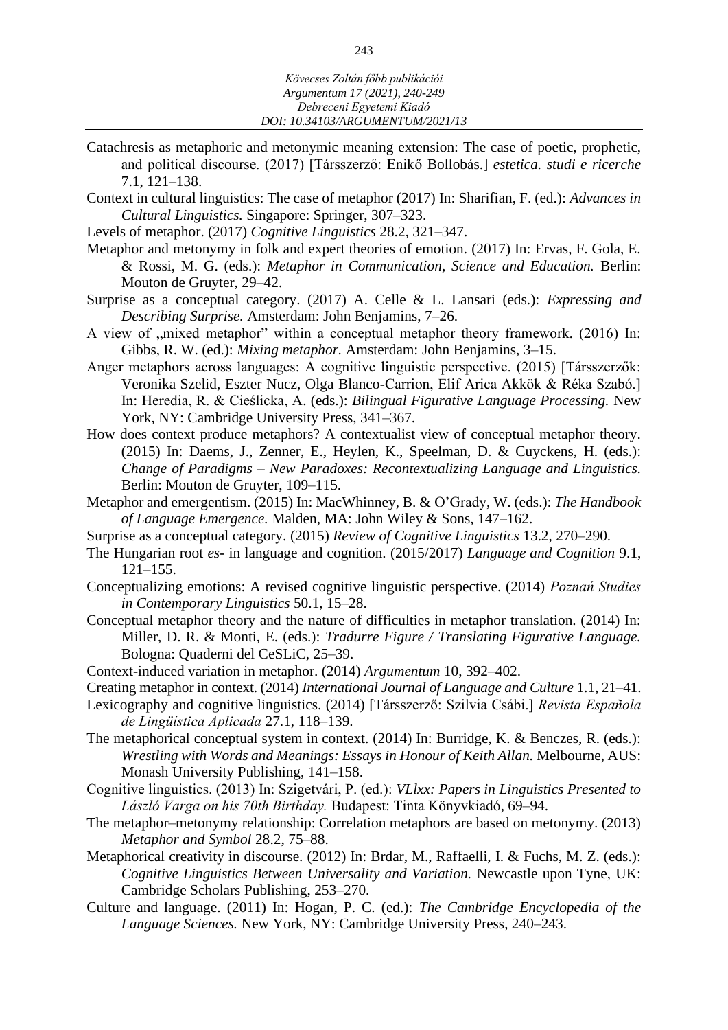- Catachresis as metaphoric and metonymic meaning extension: The case of poetic, prophetic, and political discourse. (2017) [Társszerző: Enikő Bollobás.] *estetica. studi e ricerche*  7.1, 121–138.
- Context in cultural linguistics: The case of metaphor (2017) In: Sharifian, F. (ed.): *Advances in Cultural Linguistics.* Singapore: Springer, 307–323.
- Levels of metaphor. (2017) *Cognitive Linguistics* 28.2, 321–347.
- Metaphor and metonymy in folk and expert theories of emotion. (2017) In: Ervas, F. Gola, E. & Rossi, M. G. (eds.): *Metaphor in Communication, Science and Education.* Berlin: Mouton de Gruyter, 29–42.
- Surprise as a conceptual category. (2017) A. Celle & L. Lansari (eds.): *Expressing and Describing Surprise.* Amsterdam: John Benjamins, 7–26.
- A view of ,,mixed metaphor" within a conceptual metaphor theory framework. (2016) In: Gibbs, R. W. (ed.): *Mixing metaphor.* Amsterdam: John Benjamins, 3–15.
- Anger metaphors across languages: A cognitive linguistic perspective. (2015) [Társszerzők: Veronika Szelid, Eszter Nucz, Olga Blanco-Carrion, Elif Arica Akkök & Réka Szabó.] In: Heredia, R. & Cieślicka, A. (eds.): *Bilingual Figurative Language Processing.* New York, NY: Cambridge University Press, 341–367.
- How does context produce metaphors? A contextualist view of conceptual metaphor theory. (2015) In: Daems, J., Zenner, E., Heylen, K., Speelman, D. & Cuyckens, H. (eds.): *Change of Paradigms – New Paradoxes: Recontextualizing Language and Linguistics.*  Berlin: Mouton de Gruyter, 109–115.
- Metaphor and emergentism. (2015) In: [MacWhinney,](https://onlinelibrary.wiley.com/action/doSearch?ContribAuthorStored=MacWhinney%2C+Brian) B. & [O'Grady,](https://onlinelibrary.wiley.com/action/doSearch?ContribAuthorStored=O%27Grady%2C+William) W. (eds.): *The Handbook of Language Emergence.* Malden, MA: John Wiley & Sons, 147–162.
- Surprise as a conceptual category. (2015) *Review of Cognitive Linguistics* 13.2, 270–290.
- The Hungarian root *es-* in language and cognition. (2015/2017) *Language and Cognition* 9.1, 121–155.
- Conceptualizing emotions: A revised cognitive linguistic perspective. (2014) *Poznań Studies in Contemporary Linguistics* 50.1, 15–28.
- Conceptual metaphor theory and the nature of difficulties in metaphor translation. (2014) In: Miller, D. R. & Monti, E. (eds.): *Tradurre Figure / Translating Figurative Language.*  Bologna: Quaderni del CeSLiC, 25–39.
- Context-induced variation in metaphor. (2014) *Argumentum* 10, 392–402.
- Creating metaphor in context. (2014) *International Journal of Language and Culture* 1.1, 21–41.
- Lexicography and cognitive linguistics. (2014) [Társszerző: Szilvia Csábi.] *Revista Española de Lingüística Aplicada* 27.1, 118–139.
- The metaphorical conceptual system in context. (2014) In: Burridge, K. & Benczes, R. (eds.): *Wrestling with Words and Meanings: Essays in Honour of Keith Allan.* Melbourne, AUS: Monash University Publishing, 141–158.
- Cognitive linguistics. (2013) In: Szigetvári, P. (ed.): *VLlxx: Papers in Linguistics Presented to László Varga on his 70th Birthday.* Budapest: Tinta Könyvkiadó, 69–94.
- The metaphor–metonymy relationship: Correlation metaphors are based on metonymy. (2013) *Metaphor and Symbol* 28.2, 75–88.
- Metaphorical creativity in discourse. (2012) In: Brdar, M., Raffaelli, I. & Fuchs, M. Z. (eds.): *Cognitive Linguistics Between Universality and Variation.* Newcastle upon Tyne, UK: Cambridge Scholars Publishing, 253–270.
- Culture and language. (2011) In: Hogan, P. C. (ed.): *The Cambridge Encyclopedia of the Language Sciences.* New York, NY: Cambridge University Press, 240–243.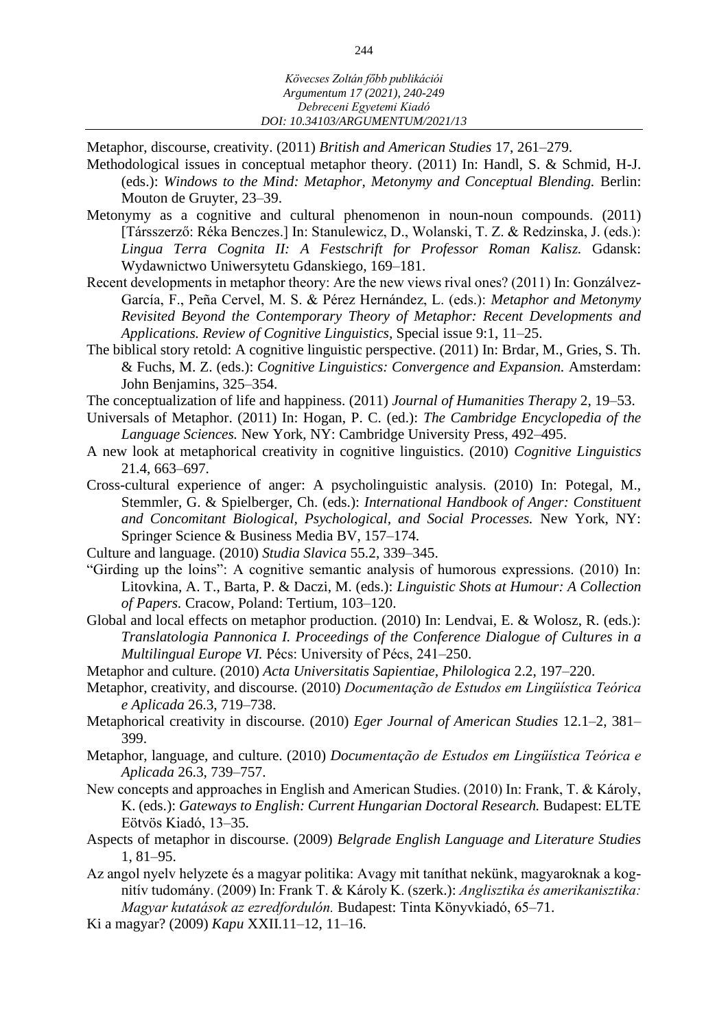Metaphor, discourse, creativity. (2011) *British and American Studies* 17, 261–279.

- Methodological issues in conceptual metaphor theory. (2011) In: Handl, S. & Schmid, H-J. (eds.): *Windows to the Mind: Metaphor, Metonymy and Conceptual Blending.* Berlin: Mouton de Gruyter, 23–39.
- Metonymy as a cognitive and cultural phenomenon in noun-noun compounds. (2011) [Társszerző: Réka Benczes.] In: Stanulewicz, D., Wolanski, T. Z. & Redzinska, J. (eds.): *Lingua Terra Cognita II: A Festschrift for Professor Roman Kalisz.* Gdansk: Wydawnictwo Uniwersytetu Gdanskiego, 169–181.
- Recent developments in metaphor theory: Are the new views rival ones? (2011) In: Gonzálvez-García, F., Peña Cervel, M. S. & Pérez Hernández, L. (eds.): *Metaphor and Metonymy Revisited Beyond the Contemporary Theory of Metaphor: Recent Developments and Applications. Review of Cognitive Linguistics,* Special issue 9:1, 11–25.
- The biblical story retold: A cognitive linguistic perspective. (2011) In: Brdar, M., Gries, S. Th. & Fuchs, M. Z. (eds.): *Cognitive Linguistics: Convergence and Expansion.* Amsterdam: John Benjamins, 325–354.
- The conceptualization of life and happiness. (2011) *Journal of Humanities Therapy* 2, 19–53.
- Universals of Metaphor. (2011) In: Hogan, P. C. (ed.): *The Cambridge Encyclopedia of the Language Sciences.* New York, NY: Cambridge University Press, 492–495.
- A new look at metaphorical creativity in cognitive linguistics. (2010) *Cognitive Linguistics*  21.4, 663–697.
- Cross-cultural experience of anger: A psycholinguistic analysis. (2010) In: Potegal, M., Stemmler, G. & Spielberger, Ch. (eds.): *International Handbook of Anger: Constituent and Concomitant Biological, Psychological, and Social Processes.* New York, NY: Springer Science & Business Media BV, 157–174.
- Culture and language. (2010) *Studia Slavica* 55.2, 339–345.
- "Girding up the loins": A cognitive semantic analysis of humorous expressions. (2010) In: Litovkina, A. T., Barta, P. & Daczi, M. (eds.): *[Linguistic Shots at Humour:](https://m2.mtmt.hu/gui2/?mode=browse¶ms=publication;1678228) A Collection of Papers.* Cracow, Poland: Tertium, 103–120.
- Global and local effects on metaphor production. (2010) In: Lendvai, E. & Wolosz, R. (eds.): *Translatologia Pannonica I. Proceedings of the Conference Dialogue of Cultures in a Multilingual Europe VI.* Pécs: University of Pécs, 241–250.
- Metaphor and culture. (2010) *[Acta Universitatis Sapientiae, Philologica](https://www.ceeol.com/search/journal-detail?id=234)* 2.2, 197–220.
- Metaphor, creativity, and discourse. (2010) *Documentação de Estudos em Lingüística Teórica e Aplicada* 26.3, 719–738.
- Metaphorical creativity in discourse. (2010) *Eger Journal of American Studies* 12.1–2, 381– 399.
- Metaphor, language, and culture. (2010) *Documentação de Estudos em Lingüística Teórica e Aplicada* 26.3, 739–757.
- New concepts and approaches in English and American Studies. (2010) In: Frank, T. & Károly, K. (eds.): *Gateways to English: Current Hungarian Doctoral Research.* Budapest: ELTE Eötvös Kiadó, 13–35.
- Aspects of metaphor in discourse. (2009) *Belgrade English Language and Literature Studies*  1, 81–95.
- Az angol nyelv helyzete és a magyar politika: Avagy mit taníthat nekünk, magyaroknak a kognitív tudomány. (2009) In: Frank T. & Károly K. (szerk.): *Anglisztika és amerikanisztika: Magyar kutatások az ezredfordulón.* Budapest: Tinta Könyvkiadó, 65–71.
- Ki a magyar? (2009) *Kapu* XXII.11–12, 11–16.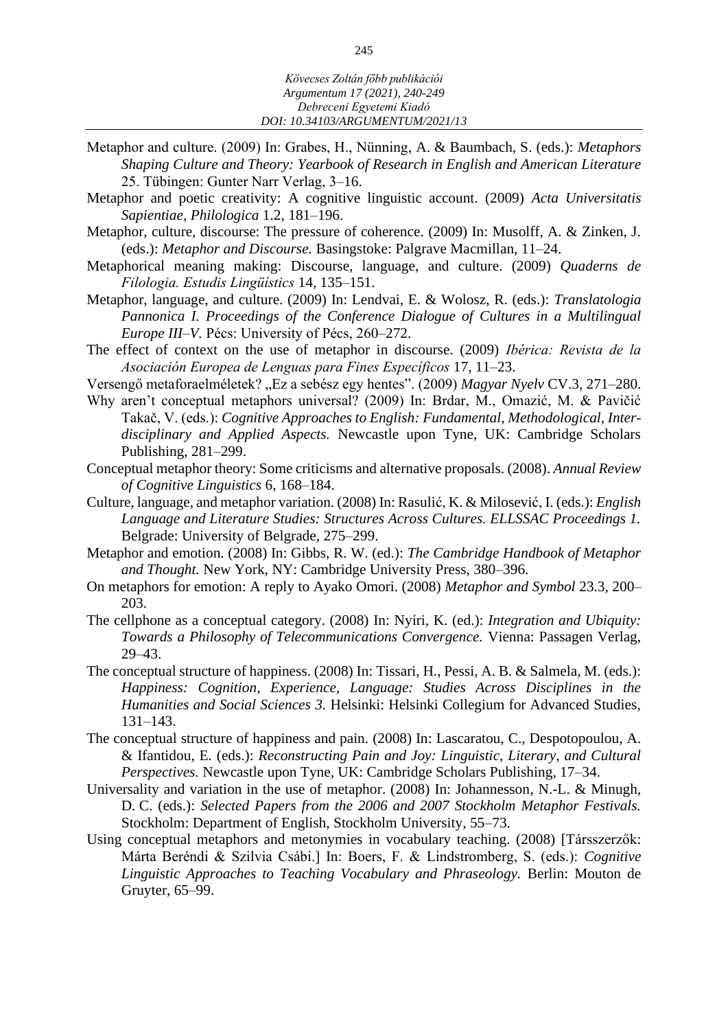- Metaphor and culture. (2009) In: Grabes, H., Nünning, A. & Baumbach, S. (eds.): *Metaphors Shaping Culture and Theory: Yearbook of Research in English and American Literature*  25. Tübingen: Gunter Narr Verlag, 3–16.
- Metaphor and poetic creativity: A cognitive linguistic account. (2009) *[Acta Universitatis](https://www.ceeol.com/search/journal-detail?id=234)  [Sapientiae, Philologica](https://www.ceeol.com/search/journal-detail?id=234)* 1.2, 181–196.
- Metaphor, culture, discourse: The pressure of coherence. (2009) In: Musolff, A. & Zinken, J. (eds.): *Metaphor and Discourse.* Basingstoke: Palgrave Macmillan, 11–24.
- Metaphorical meaning making: Discourse, language, and culture. (2009) *Quaderns de Filologia. Estudis Lingüístics* 14, 135–151.
- Metaphor, language, and culture. (2009) In: Lendvai, E. & Wolosz, R. (eds.): *Translatologia Pannonica I. Proceedings of the Conference Dialogue of Cultures in a Multilingual Europe III–V.* Pécs: University of Pécs, 260–272.
- The effect of context on the use of metaphor in discourse. (2009) *Ibérica: Revista de la Asociación Europea de Lenguas para Fines Específicos* 17, 11–23.
- Versengő metaforaelméletek? "Ez a sebész egy hentes". (2009) *Magyar Nyelv* CV.3, 271–280.
- Why aren't conceptual metaphors universal? (2009) In: Brdar, M., Omazić, M. & Pavičić Takač, V. (eds.): *Cognitive Approaches to English: Fundamental, Methodological, Interdisciplinary and Applied Aspects.* Newcastle upon Tyne, UK: Cambridge Scholars Publishing, 281–299.
- Conceptual metaphor theory: Some criticisms and alternative proposals. (2008). *Annual Review of Cognitive Linguistics* 6, 168–184.
- Culture, language, and metaphor variation. (2008) In: Rasulić, K. & Milosević, I. (eds.): *English Language and Literature Studies: Structures Across Cultures. ELLSSAC Proceedings 1.*  Belgrade: University of Belgrade, 275–299.
- Metaphor and emotion. (2008) In: Gibbs, R. W. (ed.): *The Cambridge Handbook of Metaphor and Thought.* New York, NY: Cambridge University Press, 380–396.
- On metaphors for emotion: A reply to Ayako Omori. (2008) *Metaphor and Symbol* 23.3, 200– 203.
- The cellphone as a conceptual category. (2008) In: Nyíri, K. (ed.): *Integration and Ubiquity: Towards a Philosophy of Telecommunications Convergence.* Vienna: Passagen Verlag, 29–43.
- The conceptual structure of happiness. (2008) In: Tissari, H., Pessi, A. B. & Salmela, M. (eds.): *Happiness: Cognition, Experience, Language: Studies Across Disciplines in the Humanities and Social Sciences 3.* Helsinki: Helsinki Collegium for Advanced Studies, 131–143.
- The conceptual structure of happiness and pain. (2008) In: Lascaratou, C., Despotopoulou, A. & Ifantidou, E. (eds.): *Reconstructing Pain and Joy: Linguistic, Literary, and Cultural Perspectives.* Newcastle upon Tyne, UK: Cambridge Scholars Publishing, 17–34.
- Universality and variation in the use of metaphor. (2008) In: Johannesson, N.-L. & Minugh, D. C. (eds.): *Selected Papers from the 2006 and 2007 Stockholm Metaphor Festivals.*  Stockholm: Department of English, Stockholm University, 55–73.
- Using conceptual metaphors and metonymies in vocabulary teaching. (2008) [Társszerzők: Márta Beréndi & Szilvia Csábi.] In: Boers, F. & Lindstromberg, S. (eds.): *Cognitive Linguistic Approaches to Teaching Vocabulary and Phraseology.* Berlin: Mouton de Gruyter, 65–99.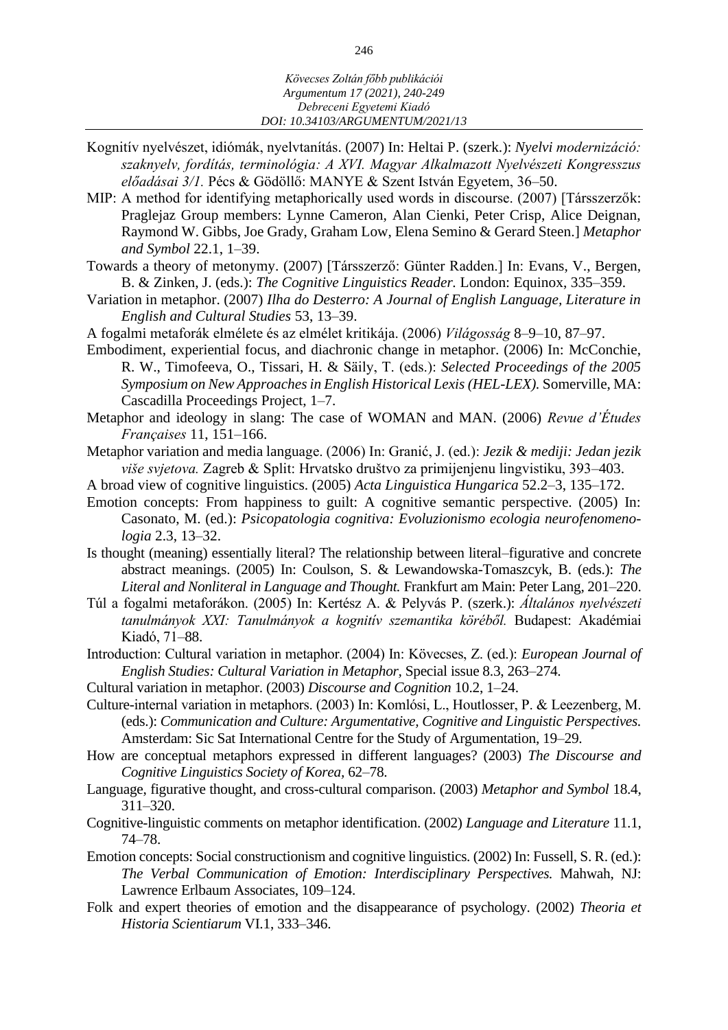- Kognitív nyelvészet, idiómák, nyelvtanítás. (2007) In: Heltai P. (szerk.): *Nyelvi modernizáció: szaknyelv, fordítás, terminológia: A XVI. Magyar Alkalmazott Nyelvészeti Kongresszus előadásai 3/1.* Pécs & Gödöllő: MANYE & Szent István Egyetem, 36–50.
- MIP: A method for identifying metaphorically used words in discourse. (2007) [Társszerzők: Praglejaz Group members: Lynne Cameron, Alan Cienki, Peter Crisp, Alice Deignan, Raymond W. Gibbs, Joe Grady, Graham Low, Elena Semino & Gerard Steen.] *Metaphor and Symbol* 22.1, 1–39.
- Towards a theory of metonymy. (2007) [Társszerző: Günter Radden.] In: Evans, V., Bergen, B. & Zinken, J. (eds.): *The Cognitive Linguistics Reader.* London: Equinox, 335–359.
- Variation in metaphor. (2007) *Ilha do Desterro: A Journal of English Language, Literature in English and Cultural Studies* 53, 13–39.
- A fogalmi metaforák elmélete és az elmélet kritikája. (2006) *Világosság* 8–9–10, 87–97.
- Embodiment, experiential focus, and diachronic change in metaphor. (2006) In: McConchie, R. W., Timofeeva, O., Tissari, H. & Säily, T. (eds.): *Selected Proceedings of the 2005 Symposium on New Approaches in English Historical Lexis (HEL-LEX).* Somerville, MA: Cascadilla Proceedings Project, 1–7.
- Metaphor and ideology in slang: The case of WOMAN and MAN. (2006) *Revue d'Études Françaises* 11, 151–166.
- Metaphor variation and media language. (2006) In: Granić, J. (ed.): *Jezik & mediji: Jedan jezik više svjetova.* Zagreb & Split: Hrvatsko društvo za primijenjenu lingvistiku, 393–403.
- A broad view of cognitive linguistics. (2005) *Acta Linguistica Hungarica* 52.2–3, 135–172.
- Emotion concepts: From happiness to guilt: A cognitive semantic perspective. (2005) In: Casonato, M. (ed.): *Psicopatologia cognitiva: Evoluzionismo ecologia neurofenomenologia* 2.3, 13–32.
- Is thought (meaning) essentially literal? The relationship between literal–figurative and concrete abstract meanings. (2005) In: Coulson, S. & Lewandowska-Tomaszcyk, B. (eds.): *The Literal and Nonliteral in Language and Thought.* Frankfurt am Main: Peter Lang, 201–220.
- Túl a fogalmi metaforákon. (2005) In: Kertész A. & Pelyvás P. (szerk.): *Általános nyelvészeti tanulmányok XXI: Tanulmányok a kognitív szemantika köréből.* Budapest: Akadémiai Kiadó, 71–88.
- Introduction: Cultural variation in metaphor. (2004) In: Kövecses, Z. (ed.): *European Journal of English Studies: Cultural Variation in Metaphor,* Special issue 8.3, 263–274.
- Cultural variation in metaphor. (2003) *Discourse and Cognition* 10.2, 1–24.
- Culture-internal variation in metaphors. (2003) In: Komlósi, L., Houtlosser, P. & Leezenberg, M. (eds.): *Communication and Culture: Argumentative, Cognitive and Linguistic Perspectives.*  Amsterdam: Sic Sat International Centre for the Study of Argumentation, 19–29.
- How are conceptual metaphors expressed in different languages? (2003) *The Discourse and Cognitive Linguistics Society of Korea,* 62–78.
- Language, figurative thought, and cross-cultural comparison. (2003) *Metaphor and Symbol* 18.4, 311–320.
- Cognitive-linguistic comments on metaphor identification. (2002) *Language and Literature* 11.1, 74–78.
- Emotion concepts: Social constructionism and cognitive linguistics. (2002) In: Fussell, S. R. (ed.): *The Verbal Communication of Emotion: Interdisciplinary Perspectives.* Mahwah, NJ: Lawrence Erlbaum Associates, 109–124.
- Folk and expert theories of emotion and the disappearance of psychology. (2002) *Theoria et Historia Scientiarum* VI.1, 333–346.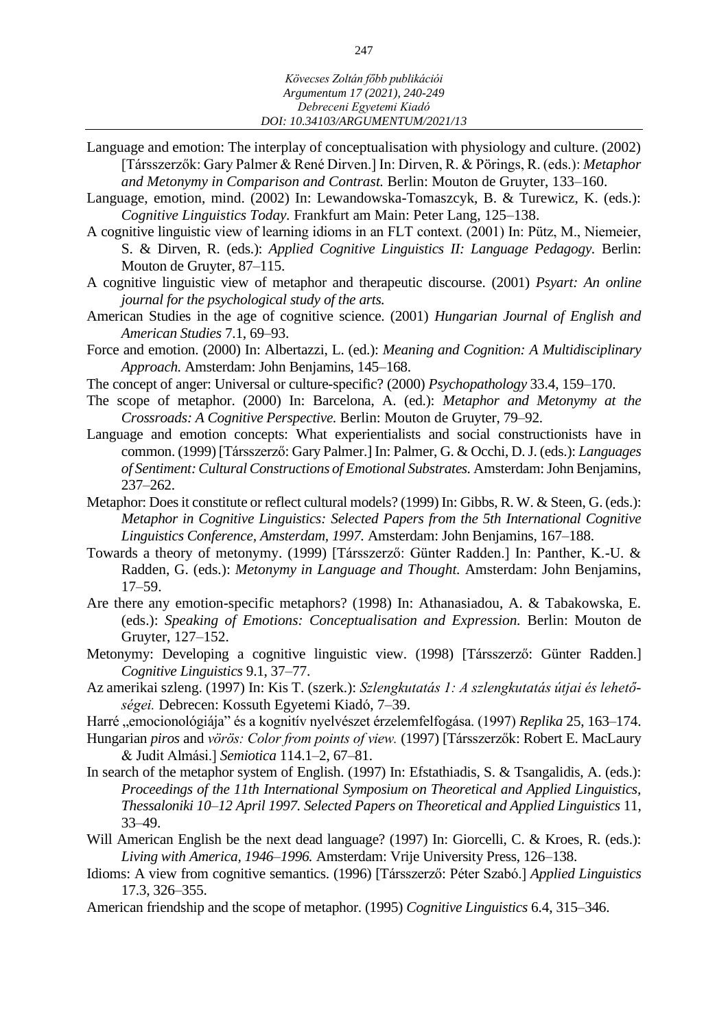- Language and emotion: The interplay of conceptualisation with physiology and culture. (2002) [Társszerzők: Gary Palmer & René Dirven.] In: Dirven, R. & Pörings, R. (eds.): *Metaphor and Metonymy in Comparison and Contrast.* Berlin: Mouton de Gruyter, 133–160.
- Language, emotion, mind. (2002) In: Lewandowska-Tomaszcyk, B. & Turewicz, K. (eds.): *Cognitive Linguistics Today.* Frankfurt am Main: Peter Lang, 125–138.
- A cognitive linguistic view of learning idioms in an FLT context. (2001) In: Pütz, M., Niemeier, S. & Dirven, R. (eds.): *Applied Cognitive Linguistics II: Language Pedagogy.* Berlin: Mouton de Gruyter, 87–115.
- A cognitive linguistic view of metaphor and therapeutic discourse. (2001) *Psyart: An online journal for the psychological study of the arts.*
- American Studies in the age of cognitive science. (2001) *Hungarian Journal of English and American Studies* 7.1, 69–93.
- Force and emotion. (2000) In: Albertazzi, L. (ed.): *Meaning and Cognition: A Multidisciplinary Approach.* Amsterdam: John Benjamins, 145–168.
- The concept of anger: Universal or culture-specific? (2000) *Psychopathology* 33.4, 159–170.
- The scope of metaphor. (2000) In: Barcelona, A. (ed.): *Metaphor and Metonymy at the Crossroads: A Cognitive Perspective.* Berlin: Mouton de Gruyter, 79–92.
- Language and emotion concepts: What experientialists and social constructionists have in common. (1999) [Társszerző: Gary Palmer.] In: Palmer, G. & Occhi, D. J. (eds.): *Languages of Sentiment: Cultural Constructions of Emotional Substrates.* Amsterdam: John Benjamins, 237–262.
- Metaphor: Does it constitute or reflect cultural models? (1999) In: Gibbs, R. W. & Steen, G. (eds.): *Metaphor in Cognitive Linguistics: Selected Papers from the 5th International Cognitive Linguistics Conference, Amsterdam, 1997.* Amsterdam: John Benjamins, 167–188.
- Towards a theory of metonymy. (1999) [Társszerző: Günter Radden.] In: Panther, K.-U. & Radden, G. (eds.): *Metonymy in Language and Thought.* Amsterdam: John Benjamins, 17–59.
- Are there any emotion-specific metaphors? (1998) In: Athanasiadou, A. & Tabakowska, E. (eds.): *Speaking of Emotions: Conceptualisation and Expression.* Berlin: Mouton de Gruyter, 127–152.
- Metonymy: Developing a cognitive linguistic view. (1998) [Társszerző: Günter Radden.] *Cognitive Linguistics* 9.1, 37–77.
- Az amerikai szleng. (1997) In: Kis T. (szerk.): *Szlengkutatás 1: A szlengkutatás útjai és lehetőségei.* Debrecen: Kossuth Egyetemi Kiadó, 7–39.
- Harré "emocionológiája" és a kognitív nyelvészet érzelemfelfogása. (1997) *Replika* 25, 163–174.
- Hungarian *piros* and *vörös: Color from points of view.* (1997) [Társszerzők: Robert E. MacLaury & Judit Almási.] *Semiotica* 114.1–2, 67–81.
- In search of the metaphor system of English. (1997) In: Efstathiadis, S. & Tsangalidis, A. (eds.): *Proceedings of the 11th International Symposium on Theoretical and Applied Linguistics, Thessaloniki 10–12 April 1997. Selected Papers on Theoretical and Applied Linguistics* 11, 33–49.
- Will American English be the next dead language? (1997) In: Giorcelli, C. & Kroes, R. (eds.): *Living with America, 1946*–*1996.* Amsterdam: Vrije University Press, 126–138.
- Idioms: A view from cognitive semantics. (1996) [Társszerző: Péter Szabó.] *Applied Linguistics*  17.3, 326–355.
- American friendship and the scope of metaphor. (1995) *Cognitive Linguistics* 6.4, 315–346.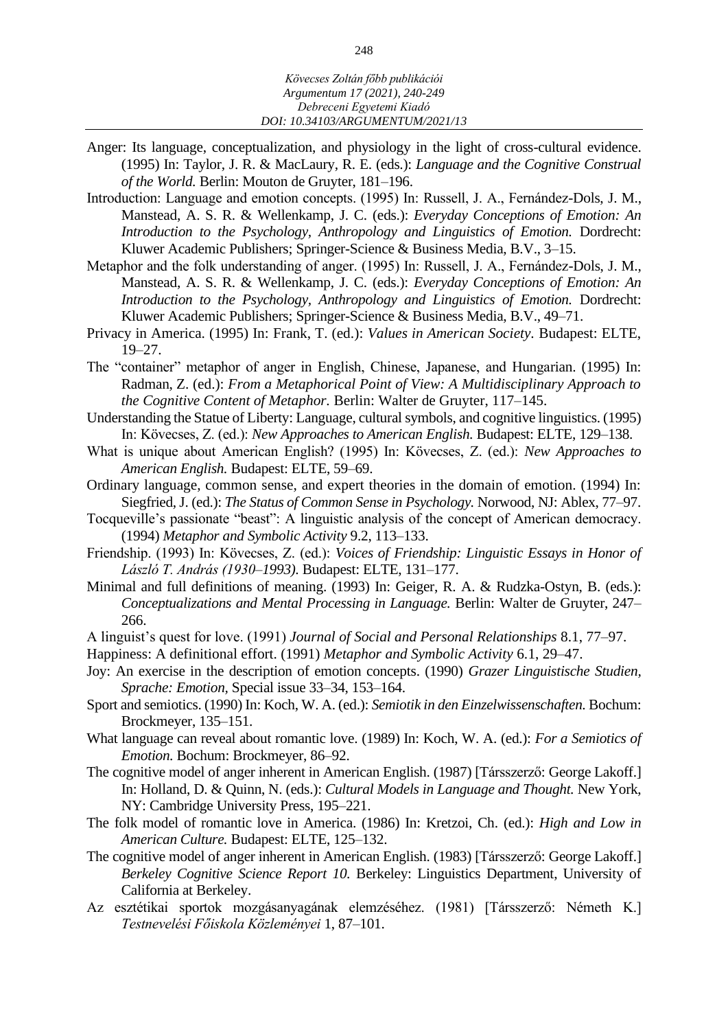- Anger: Its language, conceptualization, and physiology in the light of cross-cultural evidence. (1995) In: Taylor, J. R. & MacLaury, R. E. (eds.): *Language and the Cognitive Construal of the World.* Berlin: Mouton de Gruyter, 181–196.
- Introduction: Language and emotion concepts. (1995) In: Russell, J. A., Fernández-Dols, J. M., Manstead, A. S. R. & Wellenkamp, J. C. (eds.): *Everyday Conceptions of Emotion: An Introduction to the Psychology, Anthropology and Linguistics of Emotion.* Dordrecht: Kluwer Academic Publishers; Springer-Science & Business Media, B.V., 3–15.
- Metaphor and the folk understanding of anger. (1995) In: Russell, J. A., Fernández-Dols, J. M., Manstead, A. S. R. & Wellenkamp, J. C. (eds.): *Everyday Conceptions of Emotion: An Introduction to the Psychology, Anthropology and Linguistics of Emotion.* Dordrecht: Kluwer Academic Publishers; Springer-Science & Business Media, B.V., 49–71.
- Privacy in America. (1995) In: Frank, T. (ed.): *Values in American Society.* Budapest: ELTE, 19–27.
- The "container" metaphor of anger in English, Chinese, Japanese, and Hungarian. (1995) In: Radman, Z. (ed.): *From a Metaphorical Point of View: A Multidisciplinary Approach to the Cognitive Content of Metaphor.* Berlin: Walter de Gruyter, 117–145.
- Understanding the Statue of Liberty: Language, cultural symbols, and cognitive linguistics. (1995) In: Kövecses, Z. (ed.): *New Approaches to American English.* Budapest: ELTE, 129–138.
- What is unique about American English? (1995) In: Kövecses, Z. (ed.): *New Approaches to American English.* Budapest: ELTE, 59–69.
- Ordinary language, common sense, and expert theories in the domain of emotion. (1994) In: Siegfried, J. (ed.): *The Status of Common Sense in Psychology.* Norwood, NJ: Ablex, 77–97.
- Tocqueville's passionate "beast": A linguistic analysis of the concept of American democracy. (1994) *Metaphor and Symbolic Activity* 9.2, 113–133.
- Friendship. (1993) In: Kövecses, Z. (ed.): *Voices of Friendship: Linguistic Essays in Honor of László T. András (1930–1993).* Budapest: ELTE, 131–177.
- Minimal and full definitions of meaning. (1993) In: Geiger, R. A. & Rudzka-Ostyn, B. (eds.): *Conceptualizations and Mental Processing in Language.* Berlin: Walter de Gruyter, 247– 266.
- A linguist's quest for love. (1991) *Journal of Social and Personal Relationships* 8.1, 77–97.
- Happiness: A definitional effort. (1991) *Metaphor and Symbolic Activity* 6.1, 29–47.
- Joy: An exercise in the description of emotion concepts. (1990) *Grazer Linguistische Studien, Sprache: Emotion,* Special issue 33–34, 153–164.
- Sport and semiotics. (1990) In: Koch, W. A. (ed.): *Semiotik in den Einzelwissenschaften.* Bochum: Brockmeyer, 135–151.
- What language can reveal about romantic love. (1989) In: Koch, W. A. (ed.): *For a Semiotics of Emotion.* Bochum: Brockmeyer, 86–92.
- The cognitive model of anger inherent in American English. (1987) [Társszerző: George Lakoff.] In: Holland, D. & Quinn, N. (eds.): *Cultural Models in Language and Thought.* New York, NY: Cambridge University Press, 195–221.
- The folk model of romantic love in America. (1986) In: Kretzoi, Ch. (ed.): *High and Low in American Culture.* Budapest: ELTE, 125–132.
- The cognitive model of anger inherent in American English. (1983) [Társszerző: George Lakoff.] *Berkeley Cognitive Science Report 10.* Berkeley: Linguistics Department, University of California at Berkeley.
- Az esztétikai sportok mozgásanyagának elemzéséhez. (1981) [Társszerző: Németh K.] *Testnevelési Főiskola Közleményei* 1, 87–101.